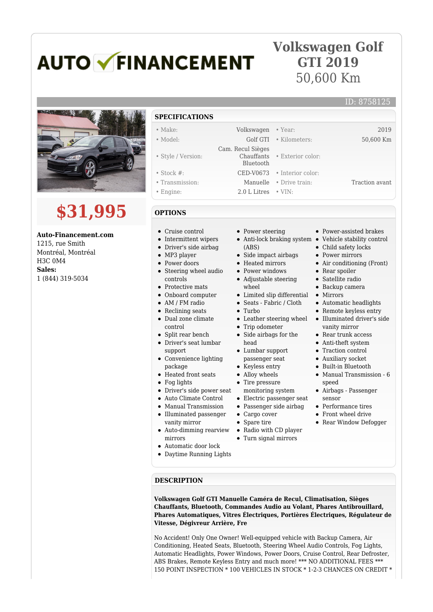## **AUTO V FINANCEMENT**

## **Volkswagen Golf GTI 2019** 50,600 Km



## **\$31,995**

**Auto-Financement.com** 1215, rue Smith Montréal, Montréal H3C 0M4 **Sales:** 1 (844) 319-5034

## **SPECIFICATIONS**

- Make: Volkswagen Year: 2019 • Model: Golf GTI • Kilometers: 50,600 Km
- 
- Style / Version:
- Stock #: CED-V0673 Interior color:
- Transmission: Manuelle Drive train: Traction avant
- Engine: 2.0 L Litres VIN:
- **OPTIONS**
- Cruise control
- Intermittent wipers
- Driver's side airbag
- MP3 player
- Power doors
- Steering wheel audio controls
- Protective mats
- Onboard computer
- AM / FM radio
- Reclining seats
- Dual zone climate control
- Split rear bench
- Driver's seat lumbar support
- Convenience lighting package
- Heated front seats
- Fog lights
- Driver's side power seat
- Auto Climate Control
- Manual Transmission
- Illuminated passenger
- vanity mirror
- $\bullet$ Auto-dimming rearview mirrors
- $\bullet$ Automatic door lock

**DESCRIPTION**

Daytime Running Lights

- Power steering
- Anti-lock braking system Vehicle stability control (ABS)

• Exterior color:

- Side impact airbags
- Heated mirrors
- Power windows
- Adjustable steering wheel
- Limited slip differential Mirrors
- Seats Fabric / Cloth
- Turbo

 Cam. Recul Sièges Chauffants Bluetooth

- Leather steering wheel
- Trip odometer
- Side airbags for the head
- Lumbar support passenger seat
- 
- Keyless entry
- Alloy wheels
- Tire pressure
- monitoring system Electric passenger seat
- -
- Spare tire
- Radio with CD player
- Turn signal mirrors
- 

Power-assisted brakes

ID: 8758125

- 
- Child safety locks
- Power mirrors
	- Air conditioning (Front)
	- Rear spoiler
	- Satellite radio
	- Backup camera
	-
	- Automatic headlights
	- Remote keyless entry
	- Illuminated driver's side vanity mirror
	- Rear trunk access
	- Anti-theft system
	- Traction control
	- Auxiliary socket
	- Built-in Bluetooth
	- Manual Transmission 6 speed
	- Airbags Passenger sensor
	- Performance tires
	- Front wheel drive
	- Rear Window Defogger

**Volkswagen Golf GTI Manuelle Caméra de Recul, Climatisation, Sièges Chauffants, Bluetooth, Commandes Audio au Volant, Phares Antibrouillard, Phares Automatiques, Vitres Électriques, Portières Électriques, Régulateur de Vitesse, Dégivreur Arrière, Fre**

No Accident! Only One Owner! Well-equipped vehicle with Backup Camera, Air Conditioning, Heated Seats, Bluetooth, Steering Wheel Audio Controls, Fog Lights, Automatic Headlights, Power Windows, Power Doors, Cruise Control, Rear Defroster, ABS Brakes, Remote Keyless Entry and much more! \*\*\* NO ADDITIONAL FEES \*\*\* 150 POINT INSPECTION \* 100 VEHICLES IN STOCK \* 1-2-3 CHANCES ON CREDIT \*

Passenger side airbag • Cargo cover